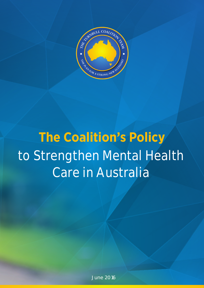

# **The Coalition's Policy to Strengthen Mental Health Care in Australia**

June 2016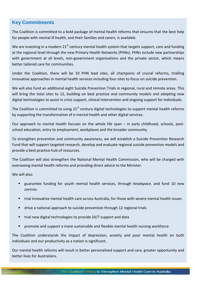# **Key Commitments**

**Our Plan** The Coalition is committed to a bold package of mental health reforms that ensures that the best help for people with mental ill health, and their families and carers, is available.

at the regional level through the new Primary Health Networks (PHNs). PHNs include new partnerships with government at all levels, non-government organisations and the private sector, which means better tailored care for communities. We are investing in a modern  $21^{st}$  century mental health system that targets support, care and funding

Under the Coalition, there will be 10 PHN lead sites, all champions of crucial reforms, trialling innovative approaches in mental health services including four sites to focus on suicide prevention.

We will also fund an additional eight Suicide Prevention Trials in regional, rural and remote areas. This will bring the total sites to 12, building on best practice and community models and adopting new digital technologies to assist in crisis support, clinical intervention and ongoing support for individuals.

The Coalition is committed to using 21<sup>st</sup> century digital technologies to support mental health reforms by supporting the transformation of e-mental health and other digital services.

Our approach to mental health focuses on the whole life span – in early childhood, schools, postschool education, entry to employment, workplaces and the broader community.

To strengthen prevention and community awareness, we will establish a Suicide Prevention Research provide a best practice hub of resources. That puts that puts the individual puts that puts the individual put Fund that will support targeted research, develop and evaluate regional suicide prevention models and

overseeing mental health reforms and providing direct advice to the Minister. The Coalition will also strengthen the National Mental Health Commission, who will be charged with

regionalised service development and suicide prevention. We will also:

- **E** guarantee funding for youth mental health services, through *headspace*, and fund 10 new centres
- trial innovative mental health care across Australia, for those with severe mental health issues
- $\blacksquare$  drive a national approach to suicide prevention through 12 regional trials
- **The service on the service service is set suite the service set suite that the set suite the set suite the set s**
- **P** promote and support a more sustainable and flexible mental health nursing workforce

The Coalition understands the impact of depression, anxiety and poor mental health on both individuals and our productivity as a nation is significant.

Our mental health reforms will result in better personalised support and care, greater opportunity and better lives for Australians.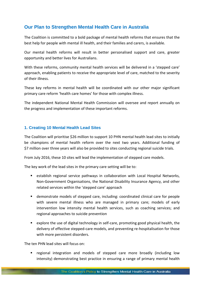# **Our Plan to Strengthen Mental Health Care in Australia**

The Coalition is committed to a bold package of mental health reforms that ensures that the best help for people with mental ill health, and their families and carers, is available.

Our mental health reforms will result in better personalised support and care, greater opportunity and better lives for Australians.

With these reforms, community mental health services will be delivered in a 'stepped care' approach, enabling patients to receive the appropriate level of care, matched to the severity of their illness.

These key reforms in mental health will be coordinated with our other major significant primary care reform 'health care homes' for those with complex illness.

The independent National Mental Health Commission will oversee and report annually on the progress and implementation of these important reforms.

## **1. Creating 10 Mental Health Lead Sites**

The Coalition will prioritise \$26 million to support 10 PHN mental health lead sites to initially be champions of mental health reform over the next two years. Additional funding of \$7 million over three years will also be provided to sites conducting regional suicide trials.

From July 2016, these 10 sites will lead the implementation of stepped care models.

The key work of the lead sites in the primary care setting will be to:

- establish regional service pathways in collaboration with Local Hospital Networks, Non-Government Organisations, the National Disability Insurance Agency, and other related services within the 'stepped care' approach
- demonstrate models of stepped care, including: coordinated clinical care for people with severe mental illness who are managed in primary care; models of early intervention low intensity mental health services, such as coaching services; and regional approaches to suicide prevention
- explore the use of digital technology in self-care, promoting good physical health, the delivery of effective stepped-care models, and preventing re-hospitalisation for those with more persistent disorders.

The ten PHN lead sites will focus on:

**E** regional integration and models of stepped care more broadly (including low intensity) demonstrating best practice in ensuring a range of primary mental health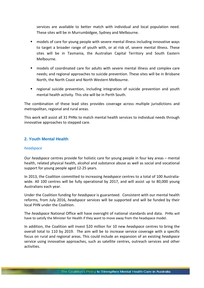services are available to better match with individual and local population need. These sites will be in Murrumbidgee, Sydney and Melbourne.

- models of care for young people with severe mental illness including innovative ways to target a broader range of youth with, or at risk of, severe mental illness. These sites will be in Tasmania, the Australian Capital Territory and South Eastern Melbourne.
- models of coordinated care for adults with severe mental illness and complex care needs; and regional approaches to suicide prevention. These sites will be in Brisbane North, the North Coast and North Western Melbourne.
- regional suicide prevention, including integration of suicide prevention and youth mental health activity. This site will be in Perth South.

The combination of these lead sites provides coverage across multiple jurisdictions and metropolitan, regional and rural areas.

This work will assist all 31 PHNs to match mental health services to individual needs through innovative approaches to stepped care.

## **2. Youth Mental Health**

#### *headspace*

Our *headspace* centres provide for holistic care for young people in four key areas – mental health, related physical health, alcohol and substance abuse as well as social and vocational support for young people aged 12-25 years.

In 2013, the Coalition committed to increasing *headspace* centres to a total of 100 Australiawide. All 100 centres will be fully operational by 2017, and will assist up to 80,000 young Australians each year.

Under the Coalition funding for *headspace* is guaranteed. Consistent with our mental health reforms, from July 2016, *headspace* services will be supported and will be funded by their local PHN under the Coalition.

The *headspace* National Office will have oversight of national standards and data. PHNs will have to satisfy the Minister for Health if they want to move away from the headspace model.

In addition, the Coalition will invest \$20 million for 10 new *headspace* centres to bring the overall total to 110 by 2019. The aim will be to increase service coverage with a specific focus on rural and regional areas. This could include an expansion of an existing *headspace* service using innovative approaches, such as satellite centres, outreach services and other activities.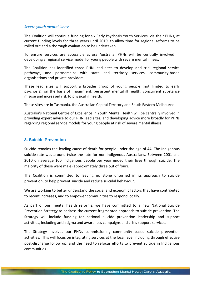#### *Severe youth mental illness*

The Coalition will continue funding for six Early Psychosis Youth Services, via their PHNs, at current funding levels for three years until 2019, to allow time for regional reforms to be rolled out and a thorough evaluation to be undertaken.

To ensure services are accessible across Australia, PHNs will be centrally involved in developing a regional service model for young people with severe mental illness.

The Coalition has identified three PHN lead sites to develop and trial regional service pathways, and partnerships with state and territory services, community-based organisations and private providers.

These lead sites will support a broader group of young people (not limited to early psychosis), on the basis of impairment, persistent mental ill health, concurrent substance misuse and increased risk to physical ill health.

These sites are in Tasmania, the Australian Capital Territory and South Eastern Melbourne.

Australia's National Centre of Excellence in Youth Mental Health will be centrally involved in providing expert advice to our PHN lead sites; and developing advice more broadly for PHNs regarding regional service models for young people at risk of severe mental illness.

## **3. Suicide Prevention**

Suicide remains the leading cause of death for people under the age of 44. The Indigenous suicide rate was around twice the rate for non-Indigenous Australians. Between 2001 and 2010 on average 100 Indigenous people per year ended their lives through suicide. The majority of these were male (approximately three out of four).

The Coalition is committed to leaving no stone unturned in its approach to suicide prevention, to help prevent suicide and reduce suicidal behaviour.

We are working to better understand the social and economic factors that have contributed to recent increases, and to empower communities to respond locally.

As part of our mental health reforms, we have committed to a new National Suicide Prevention Strategy to address the current fragmented approach to suicide prevention. The Strategy will include funding for national suicide prevention leadership and support activities, including anti-stigma and awareness campaigns and crisis support services.

The Strategy involves our PHNs commissioning community based suicide prevention activities. This will focus on integrating services at the local level including through effective post-discharge follow up, and the need to refocus efforts to prevent suicide in Indigenous communities.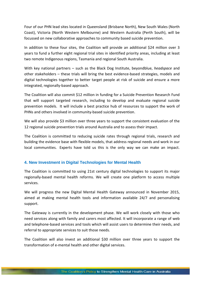Four of our PHN lead sites located in Queensland (Brisbane North), New South Wales (North Coast), Victoria (North Western Melbourne) and Western Australia (Perth South), will be focussed on new collaborative approaches to community based suicide prevention.

In addition to these four sites, the Coalition will provide an additional \$24 million over 3 years to fund a further eight regional trial sites in identified priority areas, including at least two remote Indigenous regions, Tasmania and regional South Australia.

With key national partners – such as the Black Dog Institute, beyondblue, *headspace* and other stakeholders – these trials will bring the best evidence-based strategies, models and digital technologies together to better target people at risk of suicide and ensure a more integrated, regionally-based approach.

The Coalition will also commit \$12 million in funding for a Suicide Prevention Research Fund that will support targeted research, including to develop and evaluate regional suicide prevention models. It will include a best practice hub of resources to support the work of PHNs and others involved in community-based suicide prevention.

We will also provide \$3 million over three years to support the consistent evaluation of the 12 regional suicide prevention trials around Australia and to assess their impact.

The Coalition is committed to reducing suicide rates through regional trials, research and building the evidence base with flexible models, that address regional needs and work in our local communities. Experts have told us this is the only way we can make an impact.

## **4. New Investment in Digital Technologies for Mental Health**

The Coalition is committed to using 21st century digital technologies to support its major regionally-based mental health reforms. We will create one platform to access multiple services.

We will progress the new Digital Mental Health Gateway announced in November 2015, aimed at making mental health tools and information available 24/7 and personalising support.

The Gateway is currently in the development phase. We will work closely with those who need services along with family and carers most affected. It will incorporate a range of web and telephone-based services and tools which will assist users to determine their needs, and referral to appropriate services to suit those needs.

The Coalition will also invest an additional \$30 million over three years to support the transformation of e-mental health and other digital services.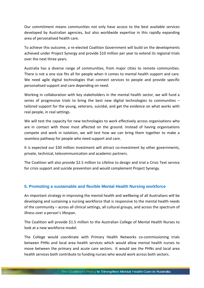Our commitment means communities not only have access to the best available services developed by Australian agencies, but also worldwide expertise in this rapidly expanding area of personalised health care.

To achieve this outcome, a re-elected Coalition Government will build on the developments achieved under Project Synergy and provide \$10 million per year to extend its regional trials over the next three years.

Australia has a diverse range of communities, from major cities to remote communities. There is not a one size fits all for people when it comes to mental health support and care. We need agile digital technologies that connect services to people and provide specific personalised support and care depending on need.

Working in collaboration with key stakeholders in the mental health sector, we will fund a series of progressive trials to bring the best new digital technologies to communities  $$ tailored support for the young, veterans, suicidal, and get the evidence on what works with real people, in real settings.

We will test the capacity for new technologies to work effectively across organisations who are in contact with those most affected on the ground. Instead of having organisations compete and work in isolation, we will test how we can bring them together to make a seamless pathway for people who need support and care.

It is expected our \$30 million investment will attract co-investment by other governments, private, technical, telecommunication and academic partners.

The Coalition will also provide \$2.5 million to Lifeline to design and trial a Crisis Text service for crisis support and suicide prevention and would complement Project Synergy.

## **5. Promoting a sustainable and flexible Mental Health Nursing workforce**

An important strategy in improving the mental health and wellbeing of all Australians will be developing and sustaining a nursing workforce that is responsive to the mental health needs of the community – across all clinical settings, all cultural groups, and across the spectrum of illness over a person's lifespan.

The Coalition will provide \$1.5 million to the Australian College of Mental Health Nurses to look at a new workforce model.

The College would coordinate with Primary Health Networks co-commissioning trials between PHNs and local area health services which would allow mental health nurses to move between the primary and acute care sectors. It would see the PHNs and local area health services both contribute to funding nurses who would work across both sectors.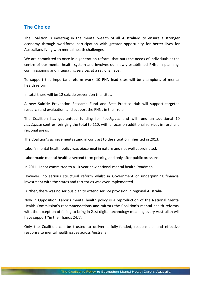## **The Choice**

The Coalition is investing in the mental wealth of all Australians to ensure a stronger economy through workforce participation with greater opportunity for better lives for Australians living with mental health challenges.

We are committed to once in a generation reform, that puts the needs of individuals at the centre of our mental health system and involves our newly established PHNs in planning, commissioning and integrating services at a regional level.

To support this important reform work, 10 PHN lead sites will be champions of mental health reform.

In total there will be 12 suicide prevention trial sites.

A new Suicide Prevention Research Fund and Best Practice Hub will support targeted research and evaluation, and support the PHNs in their role.

The Coalition has guaranteed funding for *headspace* and will fund an additional 10 *headspace* centres, bringing the total to 110, with a focus on additional services in rural and regional areas.

The Coalition's achievements stand in contrast to the situation inherited in 2013.

Labor's mental health policy was piecemeal in nature and not well coordinated.

Labor made mental health a second term priority, and only after public pressure.

In 2011, Labor committed to a 10-year new national mental health 'roadmap.'

However, no serious structural reform whilst in Government or underpinning financial investment with the states and territories was ever implemented.

Further, there was no serious plan to extend service provision in regional Australia.

Now in Opposition, Labor's mental health policy is a reproduction of the National Mental Health Commission's recommendations and mirrors the Coalition's mental health reforms, with the exception of failing to bring in 21st digital technology meaning every Australian will have support "in their hands 24/7."

Only the Coalition can be trusted to deliver a fully-funded, responsible, and effective response to mental health issues across Australia.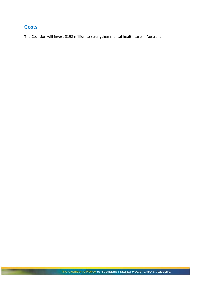# **Costs**

The Coalition will invest \$192 million to strengthen mental health care in Australia.